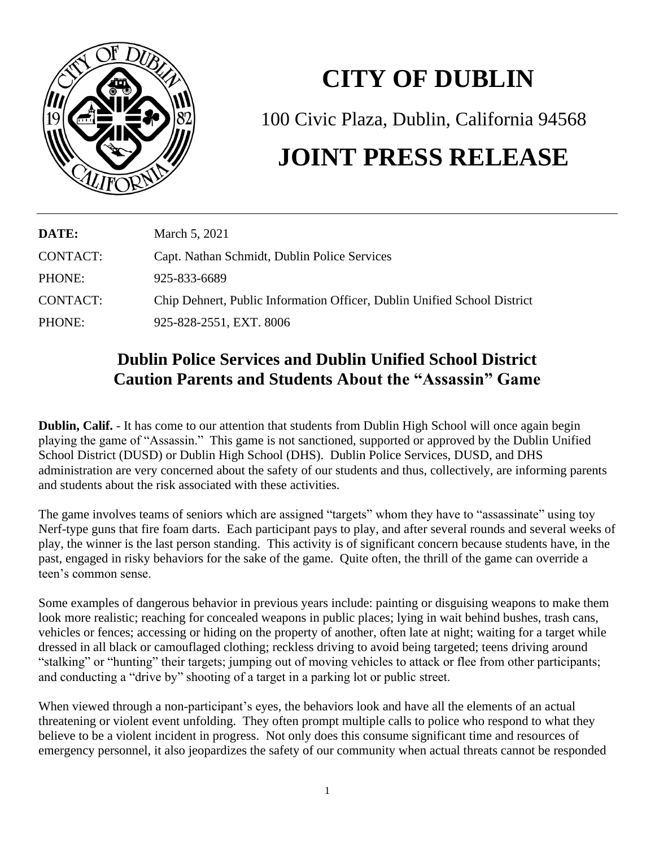

## **CITY OF DUBLIN**

100 Civic Plaza, Dublin, California 94568

## **JOINT PRESS RELEASE**

| DATE:    | March 5, 2021                                                            |
|----------|--------------------------------------------------------------------------|
| CONTACT: | Capt. Nathan Schmidt, Dublin Police Services                             |
| PHONE:   | 925-833-6689                                                             |
| CONTACT: | Chip Dehnert, Public Information Officer, Dublin Unified School District |
| PHONE:   | 925-828-2551, EXT. 8006                                                  |

## **Dublin Police Services and Dublin Unified School District Caution Parents and Students About the "Assassin" Game**

**Dublin, Calif.** - It has come to our attention that students from Dublin High School will once again begin playing the game of "Assassin." This game is not sanctioned, supported or approved by the Dublin Unified School District (DUSD) or Dublin High School (DHS). Dublin Police Services, DUSD, and DHS administration are very concerned about the safety of our students and thus, collectively, are informing parents and students about the risk associated with these activities.

The game involves teams of seniors which are assigned "targets" whom they have to "assassinate" using toy Nerf-type guns that fire foam darts. Each participant pays to play, and after several rounds and several weeks of play, the winner is the last person standing. This activity is of significant concern because students have, in the past, engaged in risky behaviors for the sake of the game. Quite often, the thrill of the game can override a teen's common sense.

Some examples of dangerous behavior in previous years include: painting or disguising weapons to make them look more realistic; reaching for concealed weapons in public places; lying in wait behind bushes, trash cans, vehicles or fences; accessing or hiding on the property of another, often late at night; waiting for a target while dressed in all black or camouflaged clothing; reckless driving to avoid being targeted; teens driving around "stalking" or "hunting" their targets; jumping out of moving vehicles to attack or flee from other participants; and conducting a "drive by" shooting of a target in a parking lot or public street.

When viewed through a non-participant's eyes, the behaviors look and have all the elements of an actual threatening or violent event unfolding. They often prompt multiple calls to police who respond to what they believe to be a violent incident in progress. Not only does this consume significant time and resources of emergency personnel, it also jeopardizes the safety of our community when actual threats cannot be responded